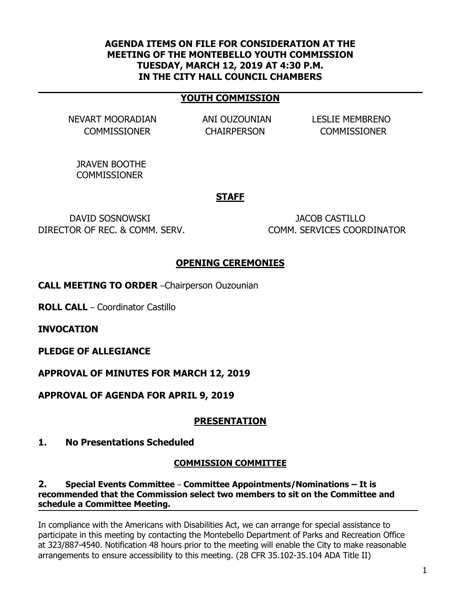### **AGENDA ITEMS ON FILE FOR CONSIDERATION AT THE MEETING OF THE MONTEBELLO YOUTH COMMISSION TUESDAY, MARCH 12, 2019 AT 4:30 P.M. IN THE CITY HALL COUNCIL CHAMBERS**

## **YOUTH COMMISSION**

NEVART MOORADIAN ANI OUZOUNIAN LESLIE MEMBRENO

COMMISSIONER CHAIRPERSON COMMISSIONER

JRAVEN BOOTHE **COMMISSIONER** 

#### **STAFF**

DAVID SOSNOWSKI JACOB CASTILLO DIRECTOR OF REC. & COMM. SERV. COMM. SERVICES COORDINATOR

### **OPENING CEREMONIES**

**CALL MEETING TO ORDER** –Chairperson Ouzounian

**ROLL CALL** – Coordinator Castillo

**INVOCATION**

**PLEDGE OF ALLEGIANCE**

**APPROVAL OF MINUTES FOR MARCH 12, 2019**

**APPROVAL OF AGENDA FOR APRIL 9, 2019**

### **PRESENTATION**

**1. No Presentations Scheduled**

#### **COMMISSION COMMITTEE**

### **2. Special Events Committee** – **Committee Appointments/Nominations – It is recommended that the Commission select two members to sit on the Committee and schedule a Committee Meeting.**

In compliance with the Americans with Disabilities Act, we can arrange for special assistance to participate in this meeting by contacting the Montebello Department of Parks and Recreation Office at 323/887-4540. Notification 48 hours prior to the meeting will enable the City to make reasonable arrangements to ensure accessibility to this meeting. (28 CFR 35.102-35.104 ADA Title II)